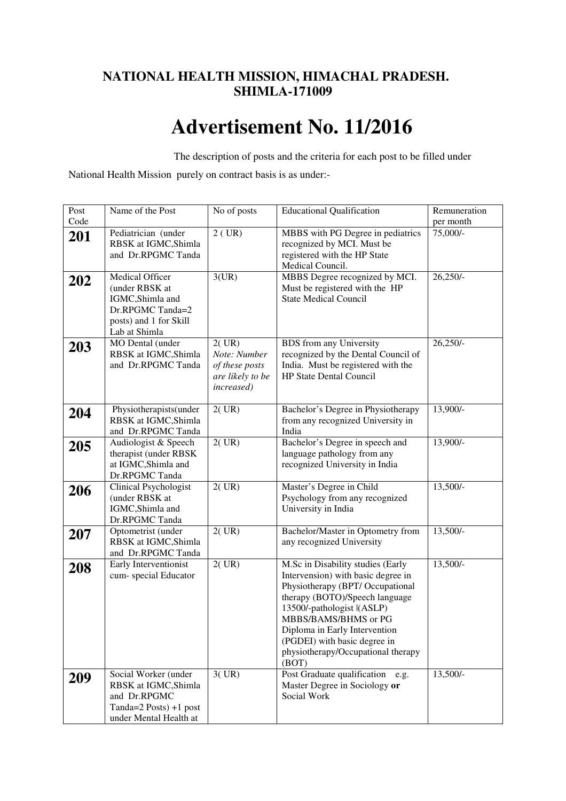# **NATIONAL HEALTH MISSION, HIMACHAL PRADESH. SHIMLA-171009**

# **Advertisement No. 11/2016**

The description of posts and the criteria for each post to be filled under

National Health Mission purely on contract basis is as under:-

| Post | Name of the Post                                                                                                     | No of posts                                                                       | <b>Educational Qualification</b>                                                                                                                                                                                                                                                                                    | Remuneration |
|------|----------------------------------------------------------------------------------------------------------------------|-----------------------------------------------------------------------------------|---------------------------------------------------------------------------------------------------------------------------------------------------------------------------------------------------------------------------------------------------------------------------------------------------------------------|--------------|
| Code |                                                                                                                      |                                                                                   |                                                                                                                                                                                                                                                                                                                     | per month    |
| 201  | Pediatrician (under<br>RBSK at IGMC, Shimla<br>and Dr.RPGMC Tanda                                                    | $2$ (UR)                                                                          | MBBS with PG Degree in pediatrics<br>recognized by MCI. Must be<br>registered with the HP State<br>Medical Council.                                                                                                                                                                                                 | 75,000/-     |
| 202  | Medical Officer<br>(under RBSK at<br>IGMC, Shimla and<br>Dr.RPGMC Tanda=2<br>posts) and 1 for Skill<br>Lab at Shimla | 3(UR)                                                                             | MBBS Degree recognized by MCI.<br>Must be registered with the HP<br><b>State Medical Council</b>                                                                                                                                                                                                                    | $26,250/-$   |
| 203  | MO Dental (under<br>RBSK at IGMC, Shimla<br>and Dr.RPGMC Tanda                                                       | 2(VR)<br>Note: Number<br>of these posts<br>are likely to be<br><i>increased</i> ) | <b>BDS</b> from any University<br>recognized by the Dental Council of<br>India. Must be registered with the<br><b>HP State Dental Council</b>                                                                                                                                                                       | $26,250/-$   |
| 204  | Physiotherapists(under<br>RBSK at IGMC, Shimla<br>and Dr.RPGMC Tanda                                                 | 2(UR)                                                                             | Bachelor's Degree in Physiotherapy<br>from any recognized University in<br>India                                                                                                                                                                                                                                    | 13,900/-     |
| 205  | Audiologist & Speech<br>therapist (under RBSK<br>at IGMC, Shimla and<br>Dr.RPGMC Tanda                               | 2(UR)                                                                             | Bachelor's Degree in speech and<br>language pathology from any<br>recognized University in India                                                                                                                                                                                                                    | 13,900/-     |
| 206  | Clinical Psychologist<br>(under RBSK at<br>IGMC, Shimla and<br>Dr.RPGMC Tanda                                        | 2(UR)                                                                             | Master's Degree in Child<br>Psychology from any recognized<br>University in India                                                                                                                                                                                                                                   | $13,500/-$   |
| 207  | Optometrist (under<br>RBSK at IGMC, Shimla<br>and Dr.RPGMC Tanda                                                     | 2(UR)                                                                             | Bachelor/Master in Optometry from<br>any recognized University                                                                                                                                                                                                                                                      | $13,500/-$   |
| 208  | Early Interventionist<br>cum-special Educator                                                                        | 2(UR)                                                                             | M.Sc in Disability studies (Early<br>Intervension) with basic degree in<br>Physiotherapy (BPT/ Occupational<br>therapy (BOTO)/Speech language<br>13500/-pathologist I(ASLP)<br>MBBS/BAMS/BHMS or PG<br>Diploma in Early Intervention<br>(PGDEI) with basic degree in<br>physiotherapy/Occupational therapy<br>(BOT) | $13,500/-$   |
| 209  | Social Worker (under<br>RBSK at IGMC, Shimla<br>and Dr.RPGMC<br>Tanda= $2$ Posts) +1 post<br>under Mental Health at  | 3(UR)                                                                             | Post Graduate qualification<br>e.g.<br>Master Degree in Sociology or<br>Social Work                                                                                                                                                                                                                                 | 13,500/-     |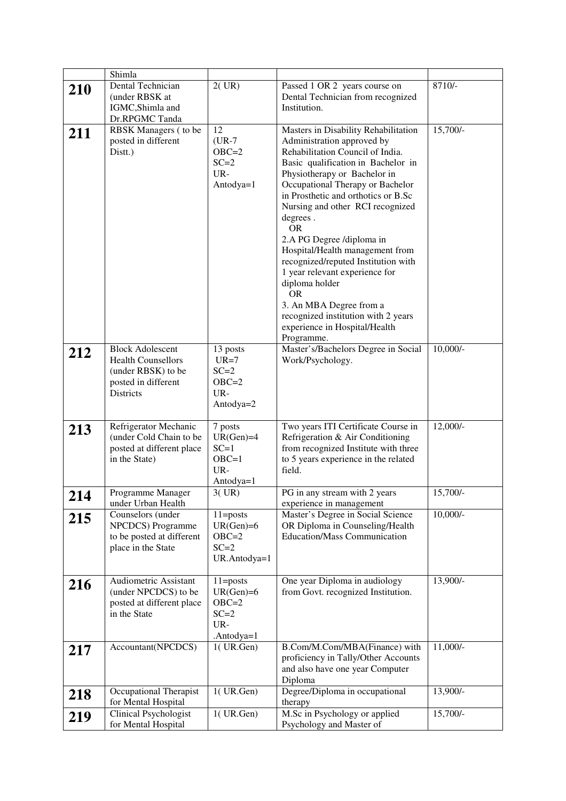|            | Shimla                                                                                                                |                                                                         |                                                                                                                                                                                                                                                                                                                                                                                                                                                                                                                                                                                                               |            |
|------------|-----------------------------------------------------------------------------------------------------------------------|-------------------------------------------------------------------------|---------------------------------------------------------------------------------------------------------------------------------------------------------------------------------------------------------------------------------------------------------------------------------------------------------------------------------------------------------------------------------------------------------------------------------------------------------------------------------------------------------------------------------------------------------------------------------------------------------------|------------|
| <b>210</b> | Dental Technician<br>(under RBSK at<br>IGMC, Shimla and<br>Dr.RPGMC Tanda                                             | 2(UR)                                                                   | Passed 1 OR 2 years course on<br>Dental Technician from recognized<br>Institution.                                                                                                                                                                                                                                                                                                                                                                                                                                                                                                                            | 8710/-     |
| 211        | RBSK Managers (to be<br>posted in different<br>Distt.)                                                                | 12<br>$(UR-7)$<br>$OBC=2$<br>$SC = 2$<br>UR-<br>Antodya=1               | Masters in Disability Rehabilitation<br>Administration approved by<br>Rehabilitation Council of India.<br>Basic qualification in Bachelor in<br>Physiotherapy or Bachelor in<br>Occupational Therapy or Bachelor<br>in Prosthetic and orthotics or B.Sc<br>Nursing and other RCI recognized<br>degrees.<br><b>OR</b><br>2.A PG Degree /diploma in<br>Hospital/Health management from<br>recognized/reputed Institution with<br>1 year relevant experience for<br>diploma holder<br><b>OR</b><br>3. An MBA Degree from a<br>recognized institution with 2 years<br>experience in Hospital/Health<br>Programme. | $15,700/-$ |
| 212        | <b>Block Adolescent</b><br><b>Health Counsellors</b><br>(under RBSK) to be<br>posted in different<br><b>Districts</b> | 13 posts<br>$UR=7$<br>$SC=2$<br>$OBC=2$<br>UR-<br>Antodya=2             | Master's/Bachelors Degree in Social<br>Work/Psychology.                                                                                                                                                                                                                                                                                                                                                                                                                                                                                                                                                       | $10,000/-$ |
| 213        | Refrigerator Mechanic<br>(under Cold Chain to be<br>posted at different place<br>in the State)                        | 7 posts<br>$UR(Gen)=4$<br>$SC=1$<br>$OBC=1$<br>$UR -$<br>Antodya=1      | Two years ITI Certificate Course in<br>Refrigeration & Air Conditioning<br>from recognized Institute with three<br>to 5 years experience in the related<br>field.                                                                                                                                                                                                                                                                                                                                                                                                                                             | $12,000/-$ |
| 214        | Programme Manager<br>under Urban Health                                                                               | 3(VR)                                                                   | PG in any stream with 2 years<br>experience in management                                                                                                                                                                                                                                                                                                                                                                                                                                                                                                                                                     | $15,700/-$ |
| 215        | Counselors (under<br>NPCDCS) Programme<br>to be posted at different<br>place in the State                             | $11 = posts$<br>$UR(Gen)=6$<br>$OBC=2$<br>$SC = 2$<br>UR.Antodya=1      | Master's Degree in Social Science<br>OR Diploma in Counseling/Health<br><b>Education/Mass Communication</b>                                                                                                                                                                                                                                                                                                                                                                                                                                                                                                   | $10,000/-$ |
| 216        | Audiometric Assistant<br>(under NPCDCS) to be<br>posted at different place<br>in the State                            | $11 = posts$<br>$UR(Gen)=6$<br>$OBC=2$<br>$SC = 2$<br>UR-<br>.Antodya=1 | One year Diploma in audiology<br>from Govt. recognized Institution.                                                                                                                                                                                                                                                                                                                                                                                                                                                                                                                                           | 13,900/-   |
| 217        | Accountant(NPCDCS)                                                                                                    | $1$ (UR.Gen)                                                            | B.Com/M.Com/MBA(Finance) with<br>proficiency in Tally/Other Accounts<br>and also have one year Computer<br>Diploma                                                                                                                                                                                                                                                                                                                                                                                                                                                                                            | $11,000/-$ |
| 218        | Occupational Therapist<br>for Mental Hospital                                                                         | $1$ (UR.Gen)                                                            | Degree/Diploma in occupational<br>therapy                                                                                                                                                                                                                                                                                                                                                                                                                                                                                                                                                                     | 13,900/-   |
| 219        | Clinical Psychologist<br>for Mental Hospital                                                                          | $1$ (UR.Gen)                                                            | M.Sc in Psychology or applied<br>Psychology and Master of                                                                                                                                                                                                                                                                                                                                                                                                                                                                                                                                                     | $15,700/-$ |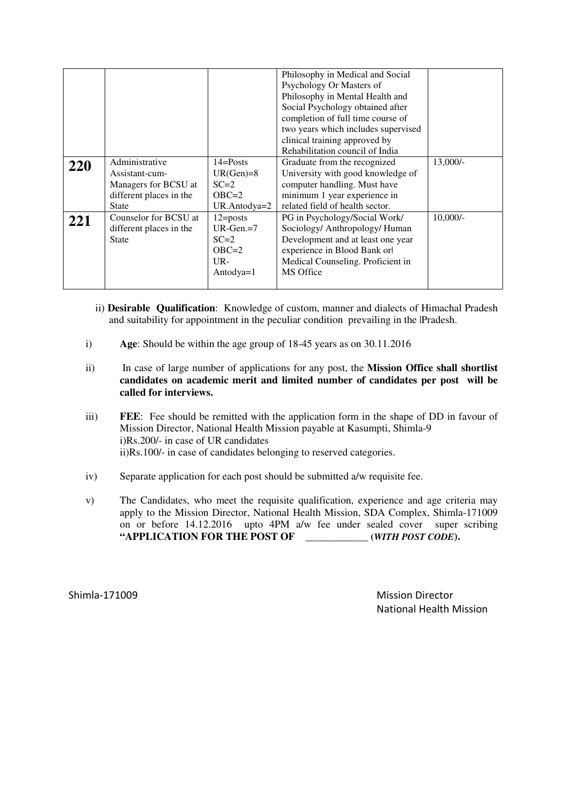|     |                         |                     | Philosophy in Medical and Social    |            |
|-----|-------------------------|---------------------|-------------------------------------|------------|
|     |                         |                     | Psychology Or Masters of            |            |
|     |                         |                     | Philosophy in Mental Health and     |            |
|     |                         |                     | Social Psychology obtained after    |            |
|     |                         |                     | completion of full time course of   |            |
|     |                         |                     | two years which includes supervised |            |
|     |                         |                     | clinical training approved by       |            |
|     |                         |                     | Rehabilitation council of India     |            |
| 220 | Administrative          | $14 =$ Posts        | Graduate from the recognized        | $13,000/-$ |
|     | Assistant-cum-          | $UR(Gen)=8$         | University with good knowledge of   |            |
|     | Managers for BCSU at    | $SC=2$              | computer handling. Must have        |            |
|     | different places in the | $OBC=2$             | minimum 1 year experience in        |            |
|     | <b>State</b>            | UR.Antodya=2        | related field of health sector.     |            |
| 221 | Counselor for BCSU at   | $12 = \text{posts}$ | PG in Psychology/Social Work/       | $10,000/-$ |
|     | different places in the | $UR-Gen = 7$        | Sociology/ Anthropology/ Human      |            |
|     | <b>State</b>            | $SC=2$              | Development and at least one year   |            |
|     |                         | $OBC=2$             | experience in Blood Bank orl        |            |
|     |                         | $_{\text{UR-}}$     | Medical Counseling. Proficient in   |            |
|     |                         | Antodya= $1$        | MS Office                           |            |
|     |                         |                     |                                     |            |

- ii) **Desirable Qualification**: Knowledge of custom, manner and dialects of Himachal Pradesh and suitability for appointment in the peculiar condition prevailing in the |Pradesh.
- i) **Age**: Should be within the age group of 18-45 years as on 30.11.2016
- ii) In case of large number of applications for any post, the **Mission Office shall shortlist candidates on academic merit and limited number of candidates per post will be called for interviews.**
- iii) **FEE**: Fee should be remitted with the application form in the shape of DD in favour of Mission Director, National Health Mission payable at Kasumpti, Shimla-9 i)Rs.200/- in case of UR candidates ii)Rs.100/- in case of candidates belonging to reserved categories.
- iv) Separate application for each post should be submitted a/w requisite fee.
- v) The Candidates, who meet the requisite qualification, experience and age criteria may apply to the Mission Director, National Health Mission, SDA Complex, Shimla-171009 on or before 14.12.2016 upto 4PM a/w fee under sealed cover super scribing **"APPLICATION FOR THE POST OF \_\_\_\_\_\_\_\_\_\_\_\_ (***WITH POST CODE***).**

Shimla-171009 Mission Director National Health Mission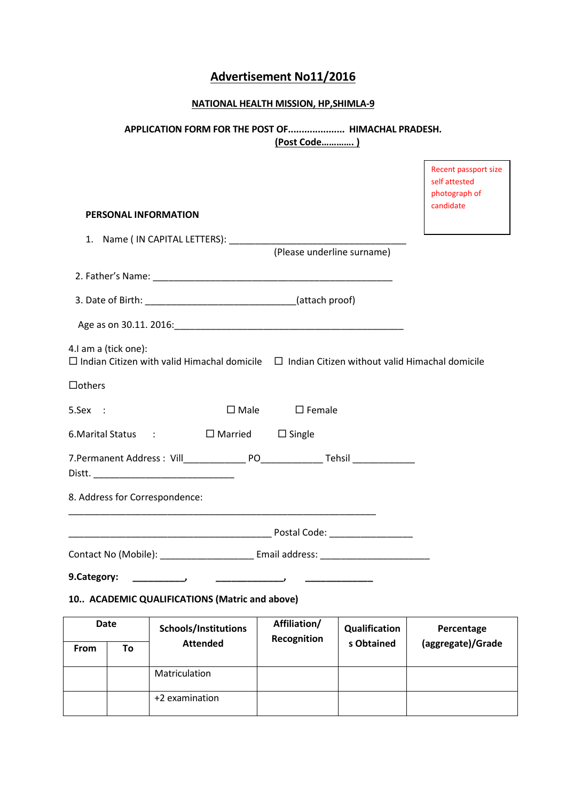# Advertisement No11/2016

# NATIONAL HEALTH MISSION, HP,SHIMLA-9

# APPLICATION FORM FOR THE POST OF..................... HIMACHAL PRADESH. (Post Code…………. )

Ē

|               |                      |                                                                                                          |                                 |               | Recent passport size<br>self attested<br>photograph of |
|---------------|----------------------|----------------------------------------------------------------------------------------------------------|---------------------------------|---------------|--------------------------------------------------------|
|               |                      | PERSONAL INFORMATION                                                                                     |                                 |               | candidate                                              |
|               |                      |                                                                                                          | (Please underline surname)      |               |                                                        |
|               |                      |                                                                                                          |                                 |               |                                                        |
|               |                      |                                                                                                          |                                 |               |                                                        |
|               |                      |                                                                                                          |                                 |               |                                                        |
|               | 4.I am a (tick one): | $\Box$ Indian Citizen with valid Himachal domicile $\Box$ Indian Citizen without valid Himachal domicile |                                 |               |                                                        |
| $\Box$ others |                      |                                                                                                          |                                 |               |                                                        |
| 5.Sex :       |                      |                                                                                                          | $\square$ Male $\square$ Female |               |                                                        |
|               |                      | 6. Marital Status : □ Married □ Single                                                                   |                                 |               |                                                        |
|               |                      | Distt.                                                                                                   |                                 |               |                                                        |
|               |                      | 8. Address for Correspondence:                                                                           |                                 |               |                                                        |
|               |                      |                                                                                                          |                                 |               |                                                        |
|               |                      | Contact No (Mobile): _________________________ Email address: __________________                         |                                 |               |                                                        |
| 9.Category:   |                      | $\overline{\phantom{a}}$                                                                                 |                                 |               |                                                        |
|               |                      | 10 ACADEMIC QUALIFICATIONS (Matric and above)                                                            |                                 |               |                                                        |
| <b>Date</b>   |                      | Schools/Institutions                                                                                     | Affiliation/<br>Recognition     | Qualification | Percentage                                             |
| From          | To                   | <b>Attended</b>                                                                                          |                                 | s Obtained    | (aggregate)/Grade                                      |
|               |                      | Matriculation                                                                                            |                                 |               |                                                        |

+2 examination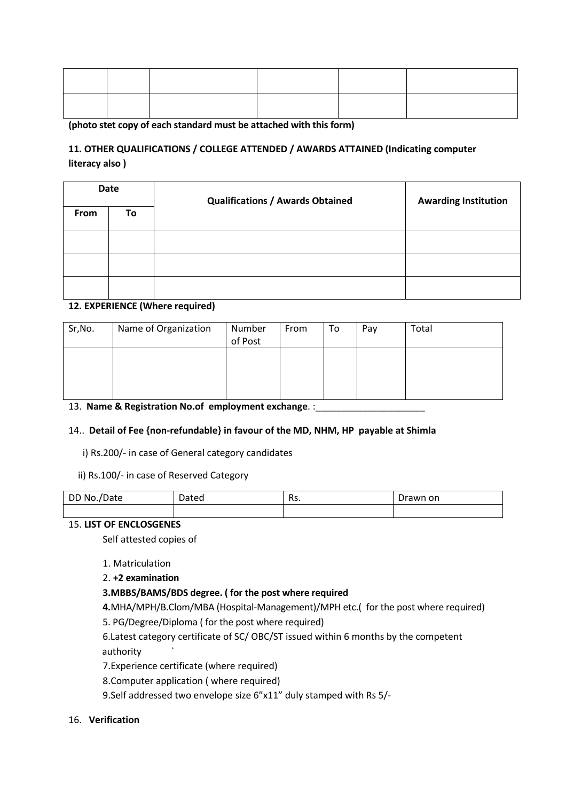(photo stet copy of each standard must be attached with this form)

# 11. OTHER QUALIFICATIONS / COLLEGE ATTENDED / AWARDS ATTAINED (Indicating computer literacy also )

| <b>Date</b> |    | <b>Qualifications / Awards Obtained</b> | <b>Awarding Institution</b> |  |
|-------------|----|-----------------------------------------|-----------------------------|--|
| From        | To |                                         |                             |  |
|             |    |                                         |                             |  |
|             |    |                                         |                             |  |
|             |    |                                         |                             |  |

# 12. EXPERIENCE (Where required)

| Sr, No. | Name of Organization | Number<br>of Post | From | To | Pay | Total |
|---------|----------------------|-------------------|------|----|-----|-------|
|         |                      |                   |      |    |     |       |
|         | $\bullet$            |                   |      |    |     |       |

#### 13. Name & Registration No.of employment exchange. :\_\_\_\_\_\_\_\_\_\_\_\_\_\_\_\_\_\_\_\_\_\_\_\_\_\_\_\_

# 14.. Detail of Fee {non-refundable} in favour of the MD, NHM, HP payable at Shimla

i) Rs.200/- in case of General category candidates

ii) Rs.100/- in case of Reserved Category

| DD No./Date | Dated | De<br>הכח. | Drawn on |
|-------------|-------|------------|----------|
|             |       |            |          |

#### 15. LIST OF ENCLOSGENES

Self attested copies of

#### 1. Matriculation

2. +2 examination

# 3.MBBS/BAMS/BDS degree. ( for the post where required

4.MHA/MPH/B.Clom/MBA (Hospital-Management)/MPH etc.( for the post where required)

5. PG/Degree/Diploma ( for the post where required)

 6.Latest category certificate of SC/ OBC/ST issued within 6 months by the competent authority `

7.Experience certificate (where required)

8.Computer application ( where required)

9.Self addressed two envelope size 6"x11" duly stamped with Rs 5/-

# 16. Verification